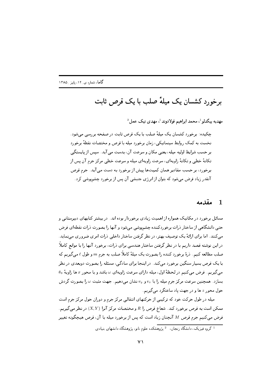# برخورد کشسان یک میلهٔ صلب با یک قرص ثابت

مهديه بيگدلو <sup>1</sup>، محمد ابراهيم فولادوند <sup>1</sup>، مهدي نيک عمل <sup>2</sup>

چکیده: برخورد کشسان یک میلهٔ صلب با یک قرص ثابت در صفحه بررسی می شود. نخست به کمک روابط سینماتیکی، زمان برخورد میله با قرص و مختصات نقطهٔ برخورد بر حسب شرايط اوليه ميله، يعني مكان و سرعت آن، بدست مي آيد. سيس از پايستگي تکانهٔ خطی و تکانهٔ زاویهای، سرعت زاویهای میله و سرعت خطی مرکز جرم آن پس از برخورد، بر حسب مقادیر همان کمیتها پیش از برخورد به دست می آید. جرم قرص آنقدر زیاد فرض می شود که بتوان از انرژی جنبشی آن پس از برخورد چشمپوشی کرد.

#### مقدمه  $\blacksquare$

مسائل برخورد در مکانیک همواره از اهمیت زیادی برخوردار بوده اند. در بیشتر کتابهای دبیرستانی و حتی دانشگاهی از ساختار ذرات برخوردکننده چشمپوشی میشود و آنها را بصورت ذرات نقطهای فرض می کنند. اما برای ارائهٔ یک توصیف بهتر، در نظر گرفتن ساختار داخلی درات امری ضروری می نماید. در این نوشته قصد داریم با در نظر گرفتن ساختار هندسی برای ذرات، برخورد آنها را با موانع کاملاً صلب مطالعه کنیم. درهٔ برخورد کننده را بصورت یک میلهٔ کاملاً صلب به جرم m و طول ¢میگیریم که با یک قرص بسیار سنگین برخورد می کند. در اینجا برای سادگی، مسئله را بصورت دوبعدی در نظر  $\theta$ می گیریم. فرض می کنیم در لحظهٔ اول، میله دارای سرعت زاویهای  $\omega$  باشد و با محور  $x$  ها زاویهٔ  $\theta$ بسازد. همچنین سرعت مرکز جرم میله را با  $v_x$  و  $v_y$  نشان میدهیم. جهت مثبت  $\omega$  را بصورت گردش حول محور z ها و در جهت پاد ساعتگرد می گیریم.

میله در طول حرکت خود که ترکیبی از حرکتهای انتقالی مرکز جرم و دوران حول مرکز جرم است ممکن است به قرص برخورد کند. شعاع قرص را  $R$  و مختصات مرکز آنرا  $(X,Y)$  در نظر می گیریم. فرض می کنیم جرم قرص M آنچنان زیاد است که پس از برخورد میله با آن، قرص هیچگونه تغییر

<sup>۔&</sup>lt;br><sup>1</sup> گروه فیزیک، دانشگاه <sub>(</sub>نجان، <sup>2</sup> پژوهشکده علوم نانو، پژوهشگاه دانشهای بنیادی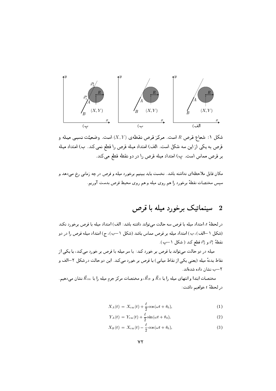

شکل ۱: شعاع قرص R است. مرکز قرص نقطهی  $(X,Y)$  است. وضعیّت نسببی میله و قرص به یکی از این سه شکل است. الف) امتداد میله قرص را قطع نمی کند. ب) امتداد میله بر قرص مماس است. پ) امتداد میله قرص را در دو نقطه قطع می کند.

مکان قابل ملاحظهای نداشته باشد. نخست باید ببینیم برخورد میله و قرص در چه زمانی رخ میدهد و سپس مختصات نقطهٔ برخورد را هم روی میله و هم روی محیط قرص بدست آوریم.

### سینماتیک برخورد میله با قرص  $\bf{2}$

در لحظهٔ t، امتداد میله با قرص سه حالت میتواند داشته باشد: الف) امتداد میله با قرص برخورد نکند (شکل ١–الف)، ب) امتداد میله بر قرص مماس باشد (شکل ١–ب)، ج) امتداد میله قرص را در دو . نقطهٔ  $\vec{r}_1^*$  و  $\vec{r}_2^*$  قطع کند ( شکل ۱ —ب)

میله در دو حالت میتواند با قرص بر خورد کند: یا سر میله با قرص بر خورد میکند، یا یکی از نقاط بدنهٔ میله (یعنی یکی از نقاط میانی) با قرص بر خورد میکند. این دو حالت در شکل ۲–الف و ٢–ب نشان داده شدهاند.

مختصات ابتدا و انتهای میله را با  $\vec{R}_A$  و  $\vec{R}_B$ ، و مختصات مرکز جرم میله را با  $\vec{R}_{\rm cm}$  نشان میدهیم. در لحظهٔ  $t$ خواهیم داشت:

$$
X_A(t) = X_{\rm cm}(t) + \frac{\ell}{2}\cos(\omega t + \theta_0), \qquad (1)
$$

$$
Y_A(t) = Y_{\rm cm}(t) + \frac{\ell}{2}\sin(\omega t + \theta_0),\tag{2}
$$

$$
X_B(t) = X_{\rm cm}(t) - \frac{\ell}{2}\cos(\omega t + \theta_0), \qquad (3)
$$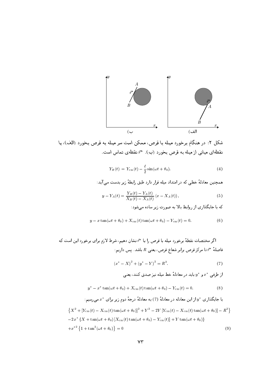

شکل ۲: در هنگام برخورد میله با قرص، ممکن است سر میله به قرص بخورد (الف)، پا نقطهای میانی از میله به قرص بخورد (ب). \*تم نقطهی تماس است.

$$
Y_B(t) = Y_{\rm cm}(t) - \frac{\ell}{2}\sin(\omega t + \theta_0). \tag{4}
$$

همچنین معادلهٔ خطی که در امتداد میله قرار دارد طبق رابطهٔ زیر بدست می آید:

$$
y - Y_A(t) = \frac{Y_B(t) - Y_A(t)}{X_B(t) - X_A(t)} (x - X_A(t)),
$$
\n(5)

که با جایگذاری از روابط بالا به صورت زیر ساده می شود:

$$
y - x \tan(\omega t + \theta_0) + X_{\rm cm}(t) \tan(\omega t + \theta_0) - Y_{\rm cm}(t) = 0.
$$
 (6)

اگر مختصات نقطهٔ برخورد میله با قرص را با پختم نشان دهیم، شرط لازم برای برخورد این است که فاصلهٔ  $\tau^*$  تا مرکز قرص برابر شعاع قرص، یعنی  $R$  باشد. پس داریم:

$$
(x^* - X)^2 + (y^* - Y)^2 = R^2.
$$
 (7)

از طرفی  $x^*$  و  $y^*$  باید در معادلهٔ خط میله نیز صدق کنند، یعنی

$$
y^* - x^* \tan(\omega t + \theta_0) + X_{\rm cm}(t) \tan(\omega t + \theta_0) - Y_{\rm cm}(t) = 0.
$$
 (8)

با جایگذاری  $y^*$  از این معادله در معادلهٔ (7) به معادلهٔ درجهٔ دوم زیر برای  $x^*$  میرسیم:  $\{X^2 + [Y_{\rm cm}(t) - X_{\rm cm}(t) \tan(\omega t + \theta_0)]^2 + Y^2 - 2Y[Y_{\rm cm}(t) - X_{\rm cm}(t) \tan(\omega t + \theta_0)] - R^2\}$ 

$$
-2 x^* \left\{ X + \tan(\omega t + \theta_0) \left[ X_{\rm cm}(t) \tan(\omega t + \theta_0) - Y_{\rm cm}(t) \right] + Y \tan(\omega t + \theta_0) \right\}
$$
  
+ 
$$
x^{*2} \left\{ 1 + \tan^2(\omega t + \theta_0) \right\} = 0
$$
 (9)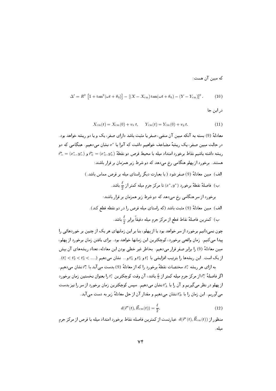که مبین آن هست:

$$
\Delta' = R^2 \left[ 1 + \tan^2(\omega t + \theta_0) \right] - \left[ (X - X_{\rm cm}) \tan(\omega t + \theta_0) - (Y - Y_{\rm cm}) \right]^2. \tag{10}
$$

در این جا

$$
X_{\rm cm}(t) = X_{\rm cm}(0) + v_x t, \qquad Y_{\rm cm}(t) = Y_{\rm cm}(0) + v_y t. \tag{11}
$$

معادلهٔ (9) بسته به آنکه مبین آن منفی، صفر یا مثبت باشد دارای صفر، یک و یا دو ریشه خواهد بود. در حالت مبین صفر، یک ریشهٔ مضاعف خواهیم داشت که آنرا با \*x نشان میدهیم. هنگامی که دو  $\vec{r}^* = (x^*, y^*)$ ریشه داشته باشیم نقاط برخورد امتداد میله با محیط قرص دو نقطهٔ  $\vec{r}^* = (x^*, y^*)$  و هستند. برخورد از پهلو هنگامی رخ میدهد که دو شرط زیر همزمان بر قرار باشند:

> الف) مبين معادلةً (9) صفر شود (يا يعيارت ديگر راستاي مبله بر قرص مماس باشد.) ب) فاصلهٔ نقطهٔ برخورد  $(x^*,y^*)$  تا مرکز جرم میله کمتر از  $\frac{\ell}{2}$  باشد.

الف) مبين معادلةً (9) مثبت باشد (كه راستاي ميله قرص را در دو نقطه قطع كند).

ب) كمترين فاصلهٔ نقاط قطع از مركز جرم ميله دقيقاً برابر ع<sup>2</sup> باشد.

چون نمی دانیم برخورد از سر خواهد بود یا از پهلو، بنا بر این زمانهای هر یک از چنین بر خوردهائی را پیدا میکنیم. زمان واقعی برخورد، کوچکترین این زمانها خواهد بود. برای یافتن زمان برخورد از پهلو، مبين معادلة (9) را برابر صفر قرار مى دهيم. بخاطر غير خطى بودن اين معادله، تعداد ريشههاى آن بيش از یک است. این ریشهها را بترتیب افزایشی با  $t_1^*$  و  $t_2^*$  و ... نشان می دهیم  $t_2^*$  ,  $t_3^* < t_2^* < t_3^*$ .

به ازای هر ریشه \*،، مختصات نقطهٔ برخورد را که از معادلهٔ (9) بدست می آید با \*، نشان میدهیم. اگر فاصلهٔ \*آ از مرکز جرم میله کمتر از ﴾ باشد، آن وقت کوچکترین \*t را بعنوان نخستین زمان برخورد از پهلو در نظر میگیریم و آن را با  $t_{A}^{*}$  نشان میدهیم. سپس کوچکترین زمان برخورد از سر را نیز بدست می آوریم. این زمان را با  $t_B^*$ نشان میدهیم و مقدار آن از حل معادلهٔ زیر به دست می آید.

$$
d(\vec{r}^*(t), \vec{R}_{cm}(t)) = \frac{\ell}{2}.
$$
 (12)

منظور از ( $d(\vec{r}^*(t),\vec{R}_{\rm cm}(t))$  عبارتست از کمترین فاصله نقاط برخورد امتداد میله با قرص از مرکز جرم ميله .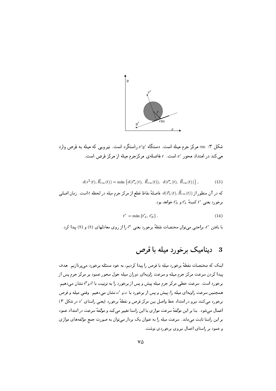

شکل ۳: cm مرکز جرم میله است. دستگاه /x′y , استگرد است. نیرویی که میله به قرص وارد می کند در امتداد محور  $x'$  است.  $r$  فاصلهی مرکزجرم میله از مرکز قرص است.

$$
d(\vec{r}^*(t), \vec{R}_{cm}(t)) = \min \left\{ d(\vec{r}^*(t), \ \vec{R}_{cm}(t)), \ d(\vec{r}^*(t), \ \vec{R}_{cm}(t)) \right\},\tag{13}
$$

که در آن منظور از  $d(\vec{r}_{\pm}^{\ast}(t),\vec{R}_{\rm cm}(t))$  فاصلهٔ نقاط قطع از مرکز جرم میله در لحظه  $t$  است. زمان اصلی برخورد بعني  $t^*$  كمينهً  $t^*$  و  $t^*$  خواهد بود.

$$
t^* = \min \{ t_A^*, \, t_B^* \} \,. \tag{14}
$$

ما یافتن \*t، براچتی می توان مختصات نقطهٔ برخورد یعنی \*تررا از روی معادلهای (8) و (9) بیدا کرد .

#### ديناميک برخورد ميله با قرص 3

اینک که مختصات نقطهٔ برخورد میله با قرص را پیدا کردیم، به خود مسئله برخورد می پردازیم. هدف پیدا کردن سرعت مرکز جرم میله و سرعت زاویهای دوران میله حول محور عمود بر مرکز جرم پس از برخورد است. سرعت خطی مرکز جرم میله پیش و پس از برخورد را به ترتیب با  $\vec{v}$  و "ة نشان میدهیم. همچنین سرعت زاویهای میله را، پیش و پس از برخورد با  $\omega$  و ' $\omega$  نشان میدهیم. وقتی میله و قرص برخورد میکنند نیرو در امتداد خط واصل بین مرکز قرص و نقطهٔ برخورد (یعنی راستای ′≈ در شکل ٣) اعمال می شود . بنا بر این مؤلفهٔ سرعت موازی با این راستا تغییر می کند و مؤلفهٔ سرعت در امتداد عمود بر این راستا ثابت میماند. سرعت میله را به عنوان یک بردار میتوان به صورت جمع مؤلفههای موازی و عمود بر راستای اعمال نیروی برخوردی نوشت.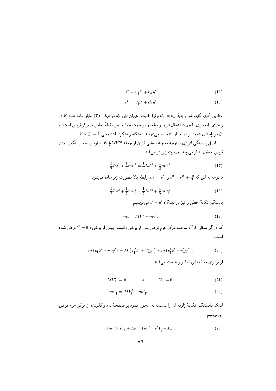$$
\vec{v} = v_{\parallel}\hat{x}' + v_{\perp}\hat{y}' \tag{15}
$$

$$
\vec{v'} = v'_{\parallel} \hat{x}' + v'_{\perp} \hat{y}' \tag{16}
$$

مطابق آنچه گفته شد رابطهٔ  $v_\perp=v_\perp$  برقرار است. همان طور که در شکل (۳) نشان داده شده  $\hat x$  در راستای پادموازی با جهت اعمال نیرو بر میله، و در جهت خط واصل نقطهٔ تماس با مرکز قرص است؛ و .  $\hat{x}' \times \hat{y}' = \hat{k}$  در راستای عمود بر آن چنان انتخاب میشود تا دستگاه راستگرد باشد یعنی  $\hat{y}'$ اصل پایستگی انرژی با توجه به چشمپوشی کردن از جمله  $MV'^2$  که با فرض بسیار سنگین بودن قرص معقول بنظر می رسد بصورت زیر در می آید.

$$
\frac{1}{2}I\omega^2 + \frac{1}{2}mv^2 = \frac{1}{2}I\omega'^2 + \frac{1}{2}mv'^2.
$$
 (17)

. با توجه به این که  $v_+^2 + v_+^2 = v_+^2 + v_+^2 = v_+^2 + v_+^2$  , ابطه بالا بصورت زیر ساده می شود.

$$
\frac{1}{2}I\omega^2 + \frac{1}{2}mv_{\parallel}^2 = \frac{1}{2}I\omega'^2 + \frac{1}{2}mv_{\parallel}'^2.
$$
 (18)

یایستگی تکانهٔ خطی را نیز در دستگاه  $x'-y'$  می نویسیم.

$$
m\vec{v} = M\vec{V'} + m\vec{v'},\tag{19}
$$

که در آن منظور از $\vec{V}$  سرعت مرکز جرم قرص پس از برخورد است. پیش از برخورد  $\vec{V}=0$  فرض شده است .

$$
m(v_{\|}\hat{x}' + v_{\perp}\hat{y}') = M(v_{\|}'\hat{x}' + V_{\perp}'\hat{y}') + m(v_{\|}'\hat{x}' + v_{\perp}'\hat{y}') . \tag{20}
$$

از برابری مؤلفهها روابط زیر بدست می آیند.

$$
MV'_{\perp} = 0 \qquad \rightarrow \qquad V'_{\perp} = 0, \tag{21}
$$

$$
mv_{\parallel} = MV_{\parallel}^{\prime} + mv_{\parallel}^{\prime}.
$$
\n
$$
(22)
$$

اینک پایستگی تکانهٔ زاویه ای را نسبت به محور عمود بر صفحهٔ  $xy$  و گذرنده از مرکز جرم قرص مىنويسيم.

$$
\left(m\vec{r} \times \vec{v}\right)_z + I\omega = \left(m\vec{r} \times \vec{v}'\right)_z + I\omega',\tag{23}
$$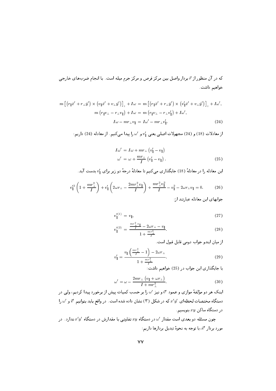$$
m\left[\left(r_{\parallel}\hat{x}'+r_{\perp}\hat{y}'\right) \times \left(v_{\parallel}\hat{x}'+v_{\perp}\hat{y}'\right)\right]_{z} + I\omega = m\left[\left(r_{\parallel}\hat{x}'+r_{\perp}\hat{y}'\right) \times \left(v_{\parallel}'\hat{x}'+v_{\perp}\hat{y}'\right)\right]_{z} + I\omega',
$$

$$
m\left(r_{\parallel}v_{\perp} - r_{\perp}v_{\parallel}\right) + I\omega = m\left(r_{\parallel}v_{\perp} - r_{\perp}v'_{\parallel}\right) + I\omega',
$$

$$
I\omega - mr_{\perp}v_{\parallel} = I\omega' - mr_{\perp}v'_{\parallel}.
$$
 (24)

از معادلات (18) و (24) مجهولات اصلي يعني  $v_{\parallel}'$  و ' $w$  را پيدا مي كنيم. از معادله (24) داريم:

$$
I\omega' = I\omega + mr_{\perp} (v_{\parallel}' - v_{\parallel})
$$
  
\n
$$
\omega' = \omega + \frac{mr_{\perp}}{I} (v_{\parallel}' - v_{\parallel}).
$$
\n(25)

این معادله را در معادلهٔ (18) جایگذاری میکنیم تا معادلهٔ درجهٔ دو زیر برای  $v_{\parallel}'$  بدست آید.

$$
v_{\parallel}^{\prime 2} \left( 1 + \frac{mr_{\perp}^2}{I} \right) + v_{\parallel}^{\prime} \left( 2\omega r_{\perp} - \frac{2mr_{\perp}^2 v_{\parallel}}{I} \right) + \frac{mr_{\perp}^2 v_{\parallel}^2}{I} - v_{\parallel}^2 - 2\omega r_{\perp} v_{\parallel} = 0. \tag{26}
$$

جوابهای این معادله عبارتند از:

$$
v_{\parallel}^{\prime(1)} = v_{\parallel}, \tag{27}
$$

$$
v_{\parallel}^{\prime(2)} = \frac{\frac{mr_{\perp}^2 v_{\parallel}}{I} - 2\omega r_{\perp} - v_{\parallel}}{1 + \frac{mr_{\perp}^2}{I}}.
$$
 (28)

از ميان ايندو جواب دومي قابل قبول است.

$$
v'_{\parallel} = \frac{v_{\parallel} \left(\frac{mr_{\perp}^2}{I} - 1\right) - 2\omega r_{\perp}}{1 + \frac{mr_{\perp}^2}{I}}.
$$
\n(29)

با جایگذاری این جواب در (25) خواهیم داشت:

$$
\omega' = \omega - \frac{2mr_{\perp}(v_{\parallel} + \omega r_{\perp})}{I + mr_{\perp}^2}.
$$
\n(30)

اینک هر دو مؤلفهٔ موازی و عمود "r و نیز 'u را بر حسب کمیات پیش از برخورد پیدا کردیم، ولی در دستگاه مختصات لحظهای  $x'y'$  که در شکل (۳) نشان داده شده است. در واقع باید بتوانیم  $\vec{v}$  و ' $\omega$  را در دستگاه ساکن  $xy$  بنویسیم

چون مسئله دو بعدی است مقدار ′۷ در دستگاه  $xy$  تفاوتی با مقدارش در دستگاه ′ $x'y'$  ندارد. در مورد بردار  $\vec{v}'$ ، با توجه به نحوهٔ تبدیل بردارها داریم: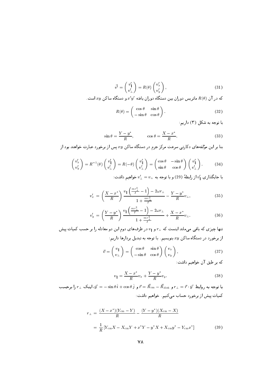$$
\vec{v'} = \begin{pmatrix} v'_{\parallel} \\ v'_{\perp} \end{pmatrix} = R(\theta) \begin{pmatrix} v'_{x} \\ v'_{y} \end{pmatrix}, \tag{31}
$$

که در آن  $R(\theta)$  ماتریس دوران بین دستگاه دوران یافته  $x'y'$  و دستگاه ساکن  $xy$  است.

$$
R(\theta) = \begin{pmatrix} \cos \theta & \sin \theta \\ -\sin \theta & \cos \theta \end{pmatrix}.
$$
 (32)

با توجه به شکل (۳) داریم:

$$
\sin \theta = \frac{Y - y^*}{R}, \qquad \cos \theta = \frac{X - x^*}{R}.
$$
 (33)

بنا بر این مؤلفههای دکارتی سرعت مرکز جرم در دستگاه ساکن  $xy$  پس از برخورد عبارت خواهند بود از

$$
\begin{pmatrix} v'_x \\ v'_y \end{pmatrix} = R^{-1}(\theta) \begin{pmatrix} v'_\parallel \\ v'_\perp \end{pmatrix} = R(-\theta) \begin{pmatrix} v'_\parallel \\ v'_\perp \end{pmatrix} = \begin{pmatrix} \cos \theta & -\sin \theta \\ \sin \theta & \cos \theta \end{pmatrix} \begin{pmatrix} v'_\parallel \\ v'_\perp \end{pmatrix}.
$$
 (34)

با جایگذاری  $v'_\parallel$  از رابطهٔ (29) و با توجه به  $v_\perp=v_\perp$  خواهیم داشت:

$$
v_x' = \left(\frac{X - x^*}{R}\right) \frac{v_{\parallel} \left(\frac{mr_{\perp}^2}{I} - 1\right) - 2\omega r_{\perp}}{1 + \frac{mr_{\perp}^2}{I}} - \frac{Y - y^*}{R} v_{\perp},\tag{35}
$$

$$
v'_{y} = \left(\frac{Y - y^{*}}{R}\right) \frac{v_{\parallel} \left(\frac{mr_{\perp}^{2}}{I} - 1\right) - 2\omega r_{\perp}}{1 + \frac{mr_{\perp}^{2}}{I}} + \frac{X - x^{*}}{R} v_{\perp}.
$$
 (36)

تنها چیزی که باقی میماند اینست که  $r_\perp$  و  $v_\parallel$  در طرفهای دوم این دو معادله را بر حسب کمیات پیش از برخورد در دستگاه ساکن  $xy$  بنویسیم. با توجه به تبدیل بردارها داریم:

$$
\vec{v} = \begin{pmatrix} v_{\parallel} \\ v_{\perp} \end{pmatrix} = \begin{pmatrix} \cos \theta & \sin \theta \\ -\sin \theta & \cos \theta \end{pmatrix} \begin{pmatrix} v_x \\ v_y \end{pmatrix}, \tag{37}
$$

که بر طبق آن خواهیم داشت:

$$
v_{\parallel} = \frac{X - x^*}{R} v_x + \frac{Y - y^*}{R} v_y. \tag{38}
$$

با توجه به روابط  $r_{\perp} = \vec{r} \cdot \hat{y}' = r = \vec{R}_{\rm cm} - \vec{R}_{\rm disk} - \vec{R}_{\rm disk}$  ، اینک  $r_{\perp} = r$  را برحسب کمیات پیش از برخورد حساب میکنیم. خواهیم داشت:

$$
r_{\perp} = \frac{(X - x^*)(Y_{\rm cm} - Y)}{R} - \frac{(Y - y^*)(X_{\rm cm} - X)}{R}
$$

$$
= \frac{1}{R}[Y_{\rm cm}X - X_{\rm cm}Y + x^*Y - y^*X + X_{\rm cm}y^* - Y_{\rm cm}x^*]
$$
(39)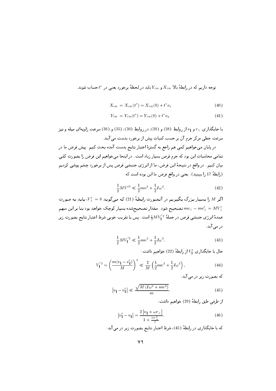توجه داریم که در رابطهٔ بالا  $X_{\rm cm}$  و  $Y_{\rm cm}$  باید در لحظهٔ برخورد یعنی در  $t^*$  حساب شوند.

$$
X_{\rm cm} = X_{\rm cm}(t^*) = X_{\rm cm}(0) + t^* v_x \tag{40}
$$

$$
Y_{\rm cm} = Y_{\rm cm}(t^*) = Y_{\rm cm}(0) + t^* v_y \tag{41}
$$

با جایگذاری ته و ۷۱ از روابط (38) و (39)، در روابط (30)، (35) و (36) سرعت زاویهای میله و نیز سرعت خطی مرکز جرم آن بر حسب کمیات پیش از برخورد بدست می آیند. در پایان میخواهیم کمی هم راجع به گسترهٔ اعتبار نتایج بدست آمده بحث کنیم. پیش فرض ما در

تمامی محاسبات این بود که جرم قرص بسیار زیاد است. در اینجا میخواهیم این فرض را بصورت کمّی بيان كنيم. در واقع در نتيجهٔ اين فرض، ما از انرژي جنبشي قرص پس از برخورد چشم پوشي كرديم (رابطة 17 را ببينيد). يعني در واقع فرض ما اين بوده است كه

$$
\frac{1}{2}MV'^2 \ll \frac{1}{2}mv^2 + \frac{1}{2}I\omega^2.
$$
 (42)

اگر M را بسیار بزرگ بگیریم در آنصورت رابطهٔ (21) که میگوید V' = 0، باید به صورت تصحیح شود. مقدار تصحیحشده بسیار کوچک خواهد بود بنا بر این سهم  $mv_\perp - mv'_\perp = MV'_\perp$ عمدهٔ انرژی جنبشی قرص در جملهٔ  $\frac{1}{2}MV_1^{'2}$  است. پس با تقریب خوبی شرط اعتبار نتایج بصورت زیر در می آید:

$$
\frac{1}{2}MV_{\parallel}^{'2} \ll \frac{1}{2}mv^2 + \frac{1}{2}I\omega^2.
$$
\n(43)

حال با جایگذاری  $V_{\parallel}'$  از رابطهٔ (22) خواهیم داشت:

$$
V_{\parallel}^{'2} = \left(\frac{m(v_{\parallel} - v_{\parallel}')}{M}\right)^2 \ll \frac{2}{M} \left(\frac{1}{2}mv^2 + \frac{1}{2}I\omega^2\right),\tag{44}
$$

که بصورت زیر در می آید:

$$
\left|v_{\parallel} - v_{\parallel}'\right| \ll \frac{\sqrt{M\left(I\omega^2 + mv^2\right)}}{m}.\tag{45}
$$

از طرفي طبق رابطة (29) خواهيم داشت:

$$
|v_{\parallel}' - v_{\parallel}| = \frac{2|v_{\parallel} + \omega r_{\perp}|}{1 + \frac{mr_{\perp}^2}{I}}.
$$
 (46)

كه با جايگذاري در رابطهٔ (45)، شرط اعتبار نتايج بصورت زير در مي آيد: